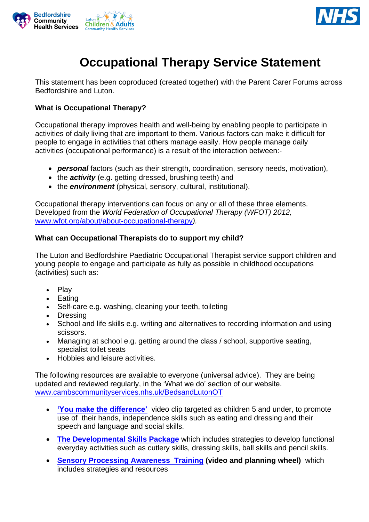



# **Occupational Therapy Service Statement**

This statement has been coproduced (created together) with the Parent Carer Forums across Bedfordshire and Luton.

## **What is Occupational Therapy?**

Occupational therapy improves health and well-being by enabling people to participate in activities of daily living that are important to them. Various factors can make it difficult for people to engage in activities that others manage easily. How people manage daily activities (occupational performance) is a result of the interaction between:-

- *personal* factors (such as their strength, coordination, sensory needs, motivation),
- the *activity* (e.g. getting dressed, brushing teeth) and
- the *environment* (physical, sensory, cultural, institutional).

Occupational therapy interventions can focus on any or all of these three elements. Developed from the *World Federation of Occupational Therapy (WFOT) 2012,*  [www.wfot.org/about/about-occupational-therapy](http://www.wfot.org/about/about-occupational-therapy)*).*

#### **What can Occupational Therapists do to support my child?**

The Luton and Bedfordshire Paediatric Occupational Therapist service support children and young people to engage and participate as fully as possible in childhood occupations (activities) such as:

- Play
- Eating
- Self-care e.g. washing, cleaning your teeth, toileting
- Dressing
- School and life skills e.g. writing and alternatives to recording information and using scissors.
- Managing at school e.g. getting around the class / school, supportive seating, specialist toilet seats
- Hobbies and leisure activities.

The following resources are available to everyone (universal advice). They are being updated and reviewed regularly, in the 'What we do' section of our website. [www.cambscommunityservices.nhs.uk/BedsandLutonOT](http://www.cambscommunityservices.nhs.uk/BedsandLutonOT)

- **['You make the difference'](https://vimeo.com/332002566)** video clip targeted as children 5 and under, to promote use of their hands, independence skills such as eating and dressing and their speech and language and social skills.
- **[The Developmental Skills Package](https://www.cambscommunityservices.nhs.uk/Bedfordshire/services/occupational-therapy/developmental-skills-package)** which includes strategies to develop functional everyday activities such as cutlery skills, dressing skills, ball skills and pencil skills.
- **[Sensory Processing Awareness Training](https://vimeo.com/458991395/6aa9096c43) (video and planning wheel)** which includes strategies and resources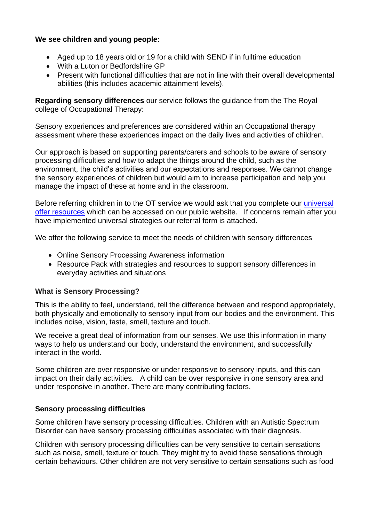## **We see children and young people:**

- Aged up to 18 years old or 19 for a child with SEND if in fulltime education
- With a Luton or Bedfordshire GP
- Present with functional difficulties that are not in line with their overall developmental abilities (this includes academic attainment levels).

**Regarding sensory differences** our service follows the guidance from the The Royal college of Occupational Therapy:

Sensory experiences and preferences are considered within an Occupational therapy assessment where these experiences impact on the daily lives and activities of children.

Our approach is based on supporting parents/carers and schools to be aware of sensory processing difficulties and how to adapt the things around the child, such as the environment, the child's activities and our expectations and responses. We cannot change the sensory experiences of children but would aim to increase participation and help you manage the impact of these at home and in the classroom.

Before referring children in to the OT service we would ask that you complete our [universal](https://www.cambscommunityservices.nhs.uk/Bedfordshire/services/occupational-therapy/sensory-processing-awareness-training)  [offer resources](https://www.cambscommunityservices.nhs.uk/Bedfordshire/services/occupational-therapy/sensory-processing-awareness-training) which can be accessed on our public website. If concerns remain after you have implemented universal strategies our referral form is attached.

We offer the following service to meet the needs of children with sensory differences

- Online Sensory Processing Awareness information
- Resource Pack with strategies and resources to support sensory differences in everyday activities and situations

#### **What is Sensory Processing?**

This is the ability to feel, understand, tell the difference between and respond appropriately, both physically and emotionally to sensory input from our bodies and the environment. This includes noise, vision, taste, smell, texture and touch.

We receive a great deal of information from our senses. We use this information in many ways to help us understand our body, understand the environment, and successfully interact in the world.

Some children are over responsive or under responsive to sensory inputs, and this can impact on their daily activities. A child can be over responsive in one sensory area and under responsive in another. There are many contributing factors.

#### **Sensory processing difficulties**

Some children have sensory processing difficulties. Children with an Autistic Spectrum Disorder can have sensory processing difficulties associated with their diagnosis.

Children with sensory processing difficulties can be very sensitive to certain sensations such as noise, smell, texture or touch. They might try to avoid these sensations through certain behaviours. Other children are not very sensitive to certain sensations such as food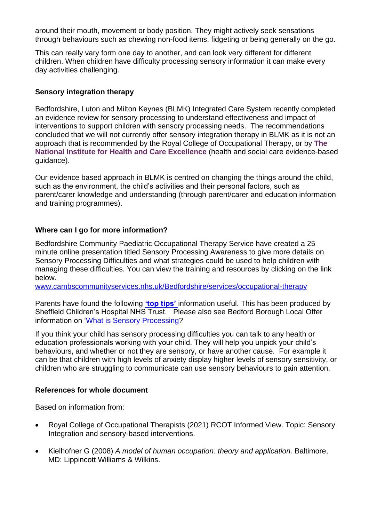around their mouth, movement or body position. They might actively seek sensations through behaviours such as chewing non-food items, fidgeting or being generally on the go.

This can really vary form one day to another, and can look very different for different children. When children have difficulty processing sensory information it can make every day activities challenging.

### **Sensory integration therapy**

Bedfordshire, Luton and Milton Keynes (BLMK) Integrated Care System recently completed an evidence review for sensory processing to understand effectiveness and impact of interventions to support children with sensory processing needs. The recommendations concluded that we will not currently offer sensory integration therapy in BLMK as it is not an approach that is recommended by the Royal College of Occupational Therapy, or by **[The](https://www.nice.org.uk/)  [National Institute for Health and Care Excellence](https://www.nice.org.uk/)** (health and social care evidence-based guidance).

Our evidence based approach in BLMK is centred on changing the things around the child, such as the environment, the child's activities and their personal factors, such as parent/carer knowledge and understanding (through parent/carer and education information and training programmes).

## **Where can I go for more information?**

Bedfordshire Community Paediatric Occupational Therapy Service have created a 25 minute online presentation titled Sensory Processing Awareness to give more details on Sensory Processing Difficulties and what strategies could be used to help children with managing these difficulties. You can view the training and resources by clicking on the link below.

[www.cambscommunityservices.nhs.uk/Bedfordshire/services/occupational-therapy](http://www.cambscommunityservices.nhs.uk/Bedfordshire/services/occupational-therapy)

Parents have found the following **['top tips'](https://www.sheffieldchildrens.nhs.uk/download/389/child-development/8323/sensory-top-tips.pdf)** information useful. This has been produced by Sheffield Children's Hospital NHS Trust. Please also see Bedford Borough Local Offer information on ['What is Sensory Processing?](https://localoffer.bedford.gov.uk/kb5/bedford/directory/advice.page?id=PKgA0yeURDU)

If you think your child has sensory processing difficulties you can talk to any health or education professionals working with your child. They will help you unpick your child's behaviours, and whether or not they are sensory, or have another cause. For example it can be that children with high levels of anxiety display higher levels of sensory sensitivity, or children who are struggling to communicate can use sensory behaviours to gain attention.

#### **References for whole document**

Based on information from:

- Royal College of Occupational Therapists (2021) RCOT Informed View. Topic: Sensory Integration and sensory-based interventions.
- Kielhofner G (2008) *A model of human occupation: theory and application.* Baltimore, MD: Lippincott Williams & Wilkins.